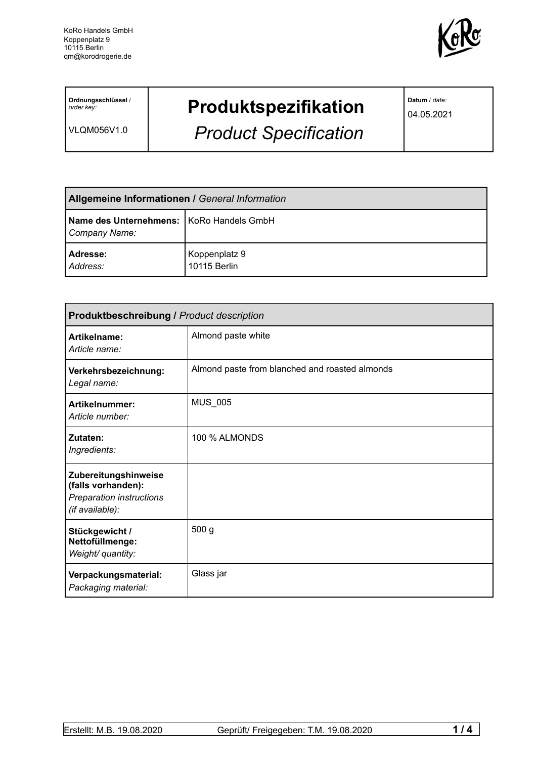

**Ordnungsschlüssel** / *order key:*

VLQM056V1.0

## **Produktspezifikation**

*Product Specification*

**Datum** / *date:*

04.05.2021

| <b>Allgemeine Informationen / General Information</b>       |                               |
|-------------------------------------------------------------|-------------------------------|
| Name des Unternehmens:   KoRo Handels GmbH<br>Company Name: |                               |
| Adresse:<br>Address:                                        | Koppenplatz 9<br>10115 Berlin |

| <b>Produktbeschreibung / Product description</b>                                          |                                                |  |
|-------------------------------------------------------------------------------------------|------------------------------------------------|--|
| Artikelname:<br>Article name:                                                             | Almond paste white                             |  |
| Verkehrsbezeichnung:<br>Legal name:                                                       | Almond paste from blanched and roasted almonds |  |
| Artikelnummer:<br>Article number:                                                         | MUS_005                                        |  |
| Zutaten:<br>Ingredients:                                                                  | 100 % ALMONDS                                  |  |
| Zubereitungshinweise<br>(falls vorhanden):<br>Preparation instructions<br>(if available): |                                                |  |
| Stückgewicht /<br>Nettofüllmenge:<br>Weight/ quantity:                                    | 500 g                                          |  |
| Verpackungsmaterial:<br>Packaging material:                                               | Glass jar                                      |  |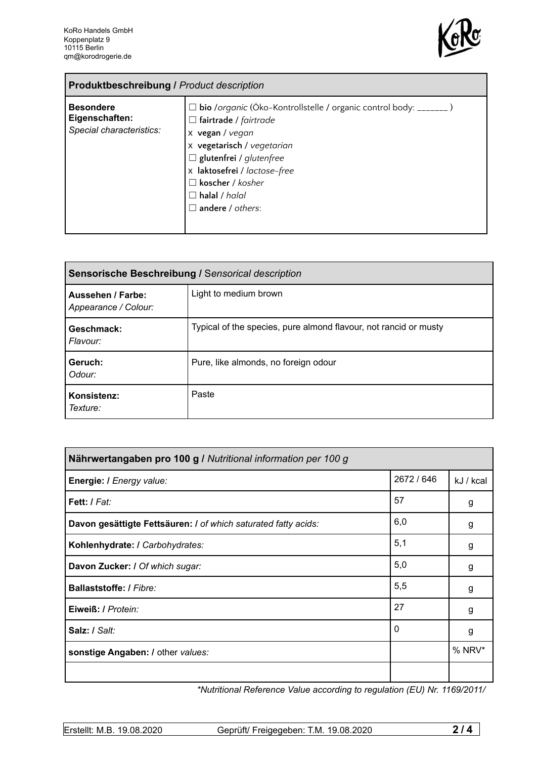

| <b>Produktbeschreibung / Product description</b>               |                                                                                                                                                                                                                                                                                                           |  |
|----------------------------------------------------------------|-----------------------------------------------------------------------------------------------------------------------------------------------------------------------------------------------------------------------------------------------------------------------------------------------------------|--|
| <b>Besondere</b><br>Eigenschaften:<br>Special characteristics: | $\Box$ bio /organic (Öko-Kontrollstelle / organic control body: _______)<br>$\Box$ fairtrade / fairtrade<br>x vegan / vegan<br>x vegetarisch / vegetarian<br>$\Box$ glutenfrei / glutenfree<br>x laktosefrei / lactose-free<br>$\Box$ koscher / kosher<br>$\Box$ halal / halal<br>$\Box$ andere / others: |  |

| Sensorische Beschreibung / Sensorical description |                                                                  |  |
|---------------------------------------------------|------------------------------------------------------------------|--|
| Aussehen / Farbe:<br>Appearance / Colour:         | Light to medium brown                                            |  |
| Geschmack:<br>Flavour:                            | Typical of the species, pure almond flavour, not rancid or musty |  |
| Geruch:<br>Odour:                                 | Pure, like almonds, no foreign odour                             |  |
| Konsistenz:<br>Texture:                           | Paste                                                            |  |

| Nährwertangaben pro 100 g / Nutritional information per 100 g  |            |           |
|----------------------------------------------------------------|------------|-----------|
| Energie: I Energy value:                                       | 2672 / 646 | kJ / kcal |
| Fett: / Fat:                                                   | 57         | g         |
| Davon gesättigte Fettsäuren: I of which saturated fatty acids: | 6,0        | g         |
| Kohlenhydrate: I Carbohydrates:                                | 5,1        | g         |
| Davon Zucker: I Of which sugar:                                | 5,0        | g         |
| Ballaststoffe: / Fibre:                                        | 5,5        | g         |
| Eiweiß: / Protein:                                             | 27         | g         |
| Salz: / Salt:                                                  | 0          | g         |
| sonstige Angaben: / other values:                              |            | % NRV*    |
|                                                                |            |           |

*\*Nutritional Reference Value according to regulation (EU) Nr. 1169/2011/*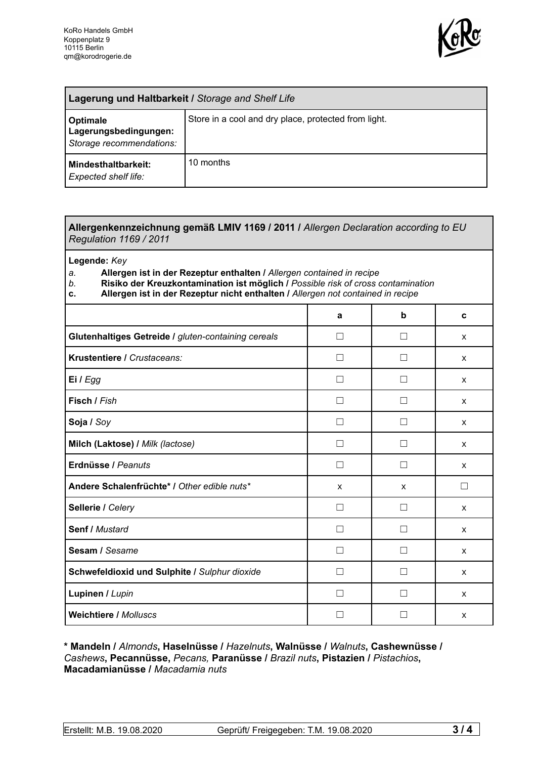

| Lagerung und Haltbarkeit / Storage and Shelf Life             |                                                      |  |
|---------------------------------------------------------------|------------------------------------------------------|--|
| Optimale<br>Lagerungsbedingungen:<br>Storage recommendations: | Store in a cool and dry place, protected from light. |  |
| <b>Mindesthaltbarkeit:</b><br>Expected shelf life:            | 10 months                                            |  |

## **Allergenkennzeichnung gemäß LMIV 1169 / 2011 /** *Allergen Declaration according to EU Regulation 1169 / 2011*

**Legende:** *Key*

*a.* **Allergen ist in der Rezeptur enthalten /** *Allergen contained in recipe*

- *b.* **Risiko der Kreuzkontamination ist möglich /** *Possible risk of cross contamination*
- **c. Allergen ist in der Rezeptur nicht enthalten /** *Allergen not contained in recipe*

|                                                     | a            | b                 | C            |
|-----------------------------------------------------|--------------|-------------------|--------------|
|                                                     |              |                   |              |
| Glutenhaltiges Getreide / gluten-containing cereals | П            | □                 | X            |
| Krustentiere / Crustaceans:                         | $\mathbf{I}$ | П                 | X            |
| Ei / Egg                                            |              |                   | X            |
| Fisch / Fish                                        |              |                   | $\mathsf{x}$ |
| Soja / Soy                                          | П            |                   | $\mathsf{x}$ |
| Milch (Laktose) / Milk (lactose)                    | П            |                   | X            |
| Erdnüsse / Peanuts                                  | П            | $\vert \ \ \vert$ | $\mathsf{x}$ |
| Andere Schalenfrüchte* / Other edible nuts*         | X            | X                 | $\Box$       |
| Sellerie / Celery                                   | П            | u                 | $\mathsf{x}$ |
| Senf / Mustard                                      | П            | $\perp$           | X            |
| Sesam / Sesame                                      | П            | $\Box$            | $\mathsf{x}$ |
| Schwefeldioxid und Sulphite / Sulphur dioxide       | П            |                   | X            |
| Lupinen / Lupin                                     |              | $\mathcal{L}$     | X            |
| <b>Weichtiere / Molluscs</b>                        |              |                   | X            |

**\* Mandeln /** *Almonds***, Haselnüsse /** *Hazelnuts***, Walnüsse /** *Walnuts***, Cashewnüsse /** *Cashews***, Pecannüsse,** *Pecans,* **Paranüsse /** *Brazil nuts***, Pistazien /** *Pistachios***, Macadamianüsse /** *Macadamia nuts*